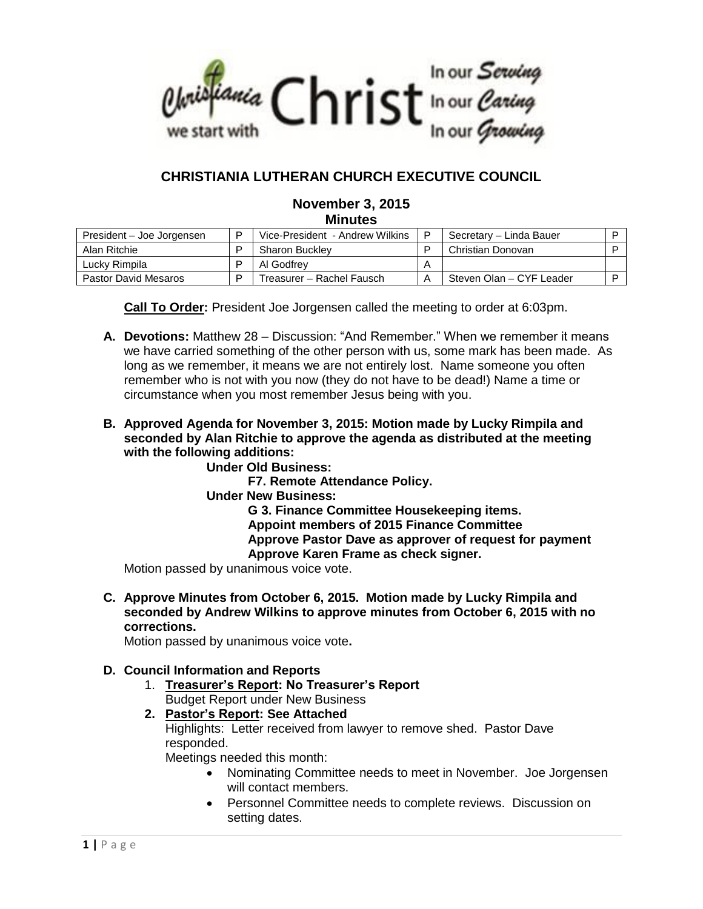

# **CHRISTIANIA LUTHERAN CHURCH EXECUTIVE COUNCIL**

### **November 3, 2015 Minutes**

| President – Joe Jorgensen | Vice-President - Andrew Wilkins | P | Secretary - Linda Bauer  |  |
|---------------------------|---------------------------------|---|--------------------------|--|
| Alan Ritchie              | <b>Sharon Buckley</b>           |   | Christian Donovan        |  |
| Luckv Rimpila             | Al Godfrev                      | A |                          |  |
| Pastor David Mesaros      | Treasurer – Rachel Fausch       |   | Steven Olan - CYF Leader |  |

**Call To Order:** President Joe Jorgensen called the meeting to order at 6:03pm.

- **A. Devotions:** Matthew 28 Discussion: "And Remember." When we remember it means we have carried something of the other person with us, some mark has been made. As long as we remember, it means we are not entirely lost. Name someone you often remember who is not with you now (they do not have to be dead!) Name a time or circumstance when you most remember Jesus being with you.
- **B. Approved Agenda for November 3, 2015: Motion made by Lucky Rimpila and seconded by Alan Ritchie to approve the agenda as distributed at the meeting with the following additions:** 
	- **Under Old Business:** 
		- **F7. Remote Attendance Policy.**
	- **Under New Business:**

**G 3. Finance Committee Housekeeping items. Appoint members of 2015 Finance Committee**

**Approve Pastor Dave as approver of request for payment Approve Karen Frame as check signer.**

Motion passed by unanimous voice vote.

**C. Approve Minutes from October 6, 2015. Motion made by Lucky Rimpila and seconded by Andrew Wilkins to approve minutes from October 6, 2015 with no corrections.**

Motion passed by unanimous voice vote**.**

### **D. Council Information and Reports**

- 1. **Treasurer's Report: No Treasurer's Report** Budget Report under New Business
- **2. Pastor's Report: See Attached** Highlights: Letter received from lawyer to remove shed. Pastor Dave responded. Meetings needed this month:
	- Nominating Committee needs to meet in November. Joe Jorgensen will contact members.
	- Personnel Committee needs to complete reviews. Discussion on setting dates.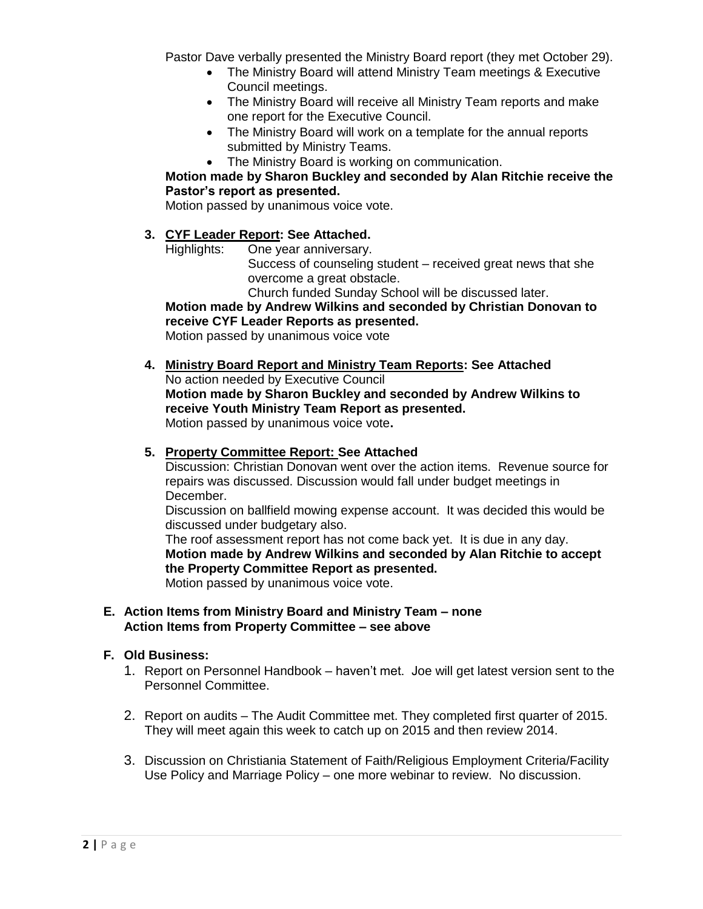Pastor Dave verbally presented the Ministry Board report (they met October 29).

- The Ministry Board will attend Ministry Team meetings & Executive Council meetings.
- The Ministry Board will receive all Ministry Team reports and make one report for the Executive Council.
- The Ministry Board will work on a template for the annual reports submitted by Ministry Teams.
- The Ministry Board is working on communication.

### **Motion made by Sharon Buckley and seconded by Alan Ritchie receive the Pastor's report as presented.**

Motion passed by unanimous voice vote.

### **3. CYF Leader Report: See Attached.**

Highlights: One year anniversary.

Success of counseling student – received great news that she overcome a great obstacle.

Church funded Sunday School will be discussed later.

**Motion made by Andrew Wilkins and seconded by Christian Donovan to receive CYF Leader Reports as presented.** 

Motion passed by unanimous voice vote

**4. Ministry Board Report and Ministry Team Reports: See Attached** No action needed by Executive Council **Motion made by Sharon Buckley and seconded by Andrew Wilkins to receive Youth Ministry Team Report as presented.**  Motion passed by unanimous voice vote**.**

### **5. Property Committee Report: See Attached**

Discussion: Christian Donovan went over the action items. Revenue source for repairs was discussed. Discussion would fall under budget meetings in December.

Discussion on ballfield mowing expense account. It was decided this would be discussed under budgetary also.

The roof assessment report has not come back yet. It is due in any day. **Motion made by Andrew Wilkins and seconded by Alan Ritchie to accept the Property Committee Report as presented.** 

Motion passed by unanimous voice vote.

#### **E. Action Items from Ministry Board and Ministry Team – none Action Items from Property Committee – see above**

#### **F. Old Business:**

- 1. Report on Personnel Handbook haven't met. Joe will get latest version sent to the Personnel Committee.
- 2. Report on audits The Audit Committee met. They completed first quarter of 2015. They will meet again this week to catch up on 2015 and then review 2014.
- 3. Discussion on Christiania Statement of Faith/Religious Employment Criteria/Facility Use Policy and Marriage Policy – one more webinar to review. No discussion.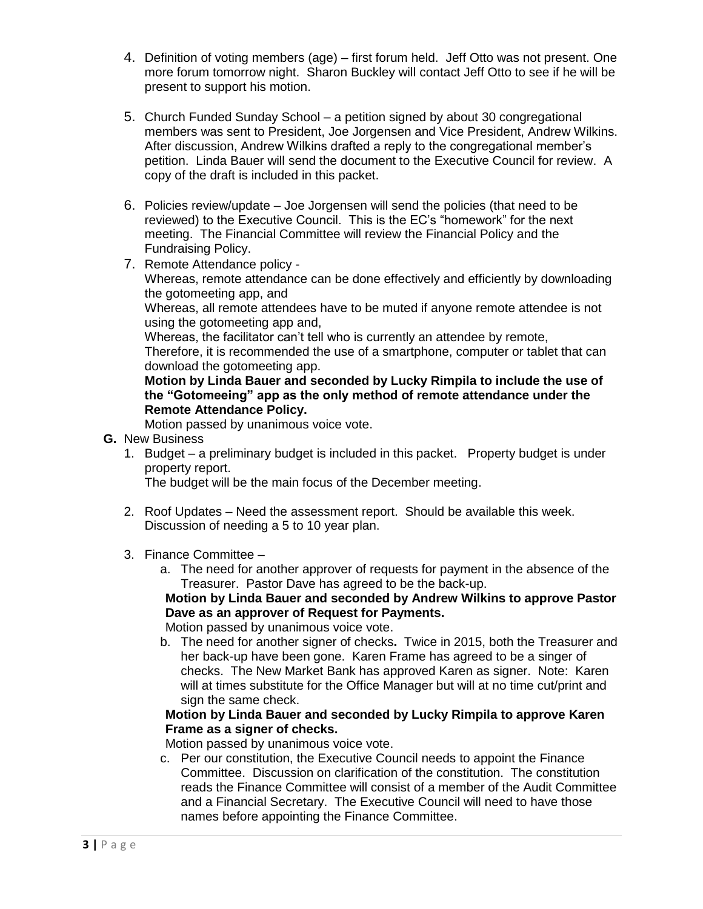- 4. Definition of voting members (age) first forum held. Jeff Otto was not present. One more forum tomorrow night. Sharon Buckley will contact Jeff Otto to see if he will be present to support his motion.
- 5. Church Funded Sunday School a petition signed by about 30 congregational members was sent to President, Joe Jorgensen and Vice President, Andrew Wilkins. After discussion, Andrew Wilkins drafted a reply to the congregational member's petition. Linda Bauer will send the document to the Executive Council for review. A copy of the draft is included in this packet.
- 6. Policies review/update Joe Jorgensen will send the policies (that need to be reviewed) to the Executive Council. This is the EC's "homework" for the next meeting. The Financial Committee will review the Financial Policy and the Fundraising Policy.
- 7. Remote Attendance policy -

Whereas, remote attendance can be done effectively and efficiently by downloading the gotomeeting app, and

Whereas, all remote attendees have to be muted if anyone remote attendee is not using the gotomeeting app and,

Whereas, the facilitator can't tell who is currently an attendee by remote,

Therefore, it is recommended the use of a smartphone, computer or tablet that can download the gotomeeting app.

**Motion by Linda Bauer and seconded by Lucky Rimpila to include the use of the "Gotomeeing" app as the only method of remote attendance under the Remote Attendance Policy.**

Motion passed by unanimous voice vote.

- **G.** New Business
	- 1. Budget a preliminary budget is included in this packet. Property budget is under property report.

The budget will be the main focus of the December meeting.

- 2. Roof Updates Need the assessment report. Should be available this week. Discussion of needing a 5 to 10 year plan.
- 3. Finance Committee
	- a. The need for another approver of requests for payment in the absence of the Treasurer. Pastor Dave has agreed to be the back-up.

**Motion by Linda Bauer and seconded by Andrew Wilkins to approve Pastor Dave as an approver of Request for Payments.**

Motion passed by unanimous voice vote.

b. The need for another signer of checks**.** Twice in 2015, both the Treasurer and her back-up have been gone. Karen Frame has agreed to be a singer of checks. The New Market Bank has approved Karen as signer. Note: Karen will at times substitute for the Office Manager but will at no time cut/print and sign the same check.

### **Motion by Linda Bauer and seconded by Lucky Rimpila to approve Karen Frame as a signer of checks.**

Motion passed by unanimous voice vote.

c. Per our constitution, the Executive Council needs to appoint the Finance Committee. Discussion on clarification of the constitution. The constitution reads the Finance Committee will consist of a member of the Audit Committee and a Financial Secretary. The Executive Council will need to have those names before appointing the Finance Committee.